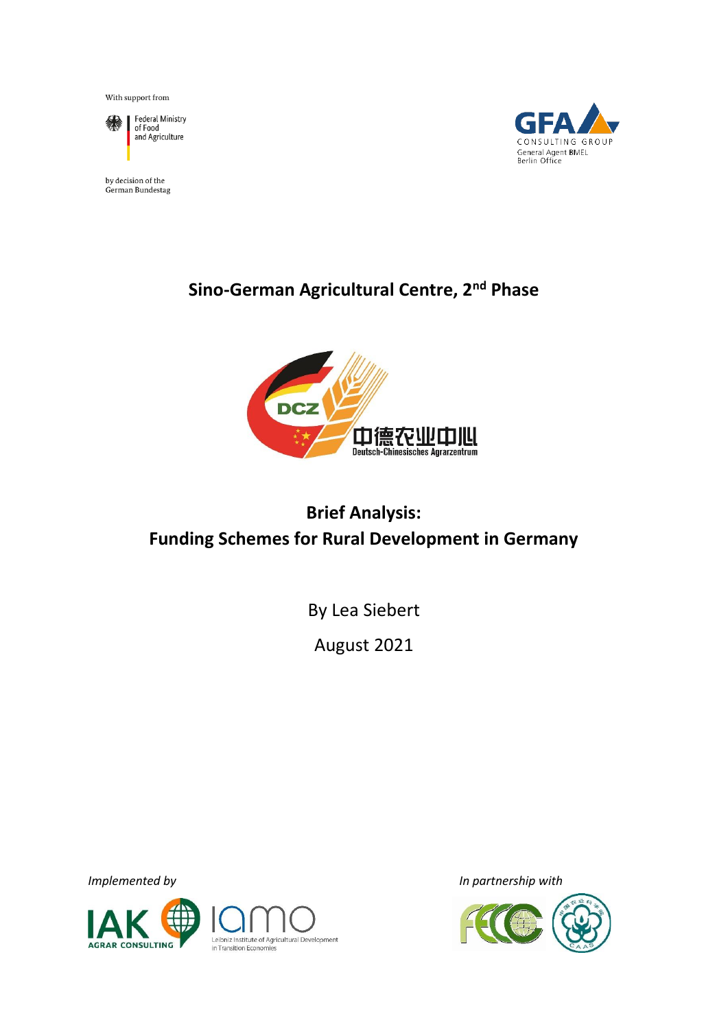With support from



Federal Ministry<br>of Food and Agriculture

by decision of the German Bundestag



## **Sino-German Agricultural Centre, 2nd Phase**



# **Brief Analysis: Funding Schemes for Rural Development in Germany**

By Lea Siebert

August 2021



Leibniz Institute of Agricultural Development in Transition Economies

*Implemented by In partnership with*

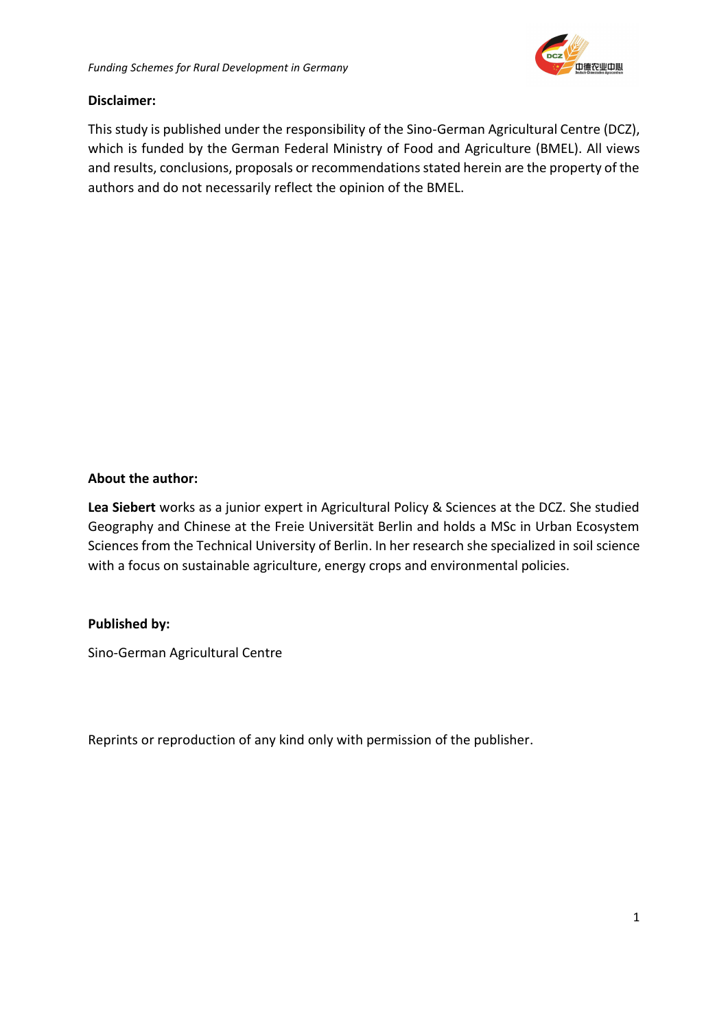

#### **Disclaimer:**

This study is published under the responsibility of the Sino-German Agricultural Centre (DCZ), which is funded by the German Federal Ministry of Food and Agriculture (BMEL). All views and results, conclusions, proposals or recommendations stated herein are the property of the authors and do not necessarily reflect the opinion of the BMEL.

#### **About the author:**

**Lea Siebert** works as a junior expert in Agricultural Policy & Sciences at the DCZ. She studied Geography and Chinese at the Freie Universität Berlin and holds a MSc in Urban Ecosystem Sciences from the Technical University of Berlin. In her research she specialized in soil science with a focus on sustainable agriculture, energy crops and environmental policies.

#### **Published by:**

Sino-German Agricultural Centre

Reprints or reproduction of any kind only with permission of the publisher.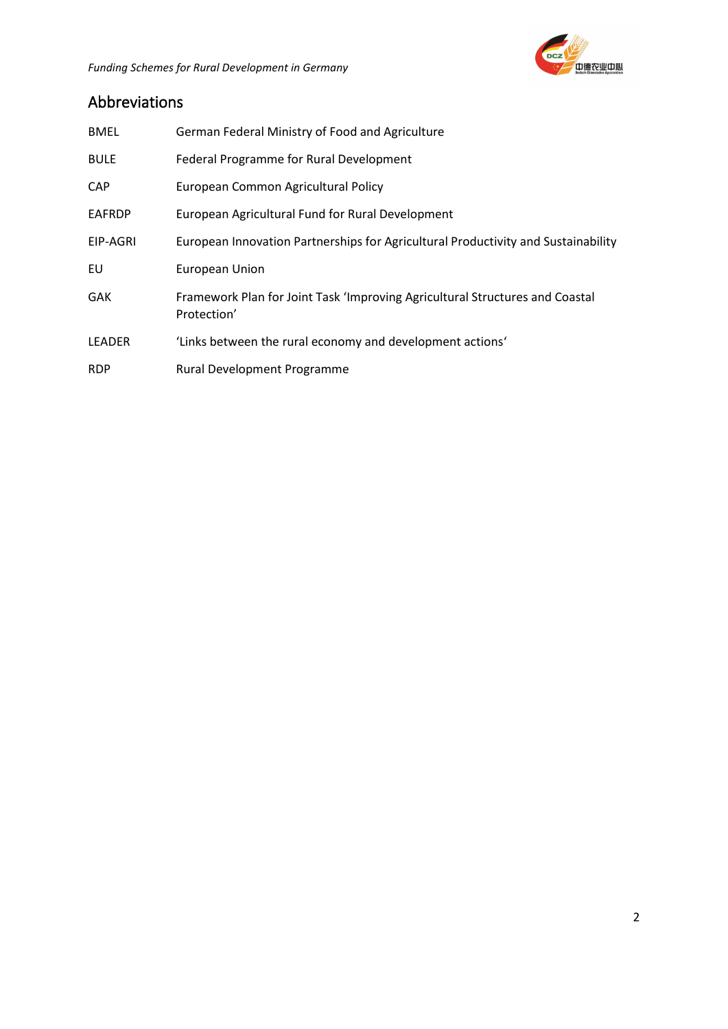

## Abbreviations

| <b>BMEL</b>   | German Federal Ministry of Food and Agriculture                                             |
|---------------|---------------------------------------------------------------------------------------------|
| <b>BULE</b>   | Federal Programme for Rural Development                                                     |
| <b>CAP</b>    | European Common Agricultural Policy                                                         |
| EAFRDP        | European Agricultural Fund for Rural Development                                            |
| EIP-AGRI      | European Innovation Partnerships for Agricultural Productivity and Sustainability           |
| EU            | European Union                                                                              |
| GAK           | Framework Plan for Joint Task 'Improving Agricultural Structures and Coastal<br>Protection' |
| <b>LEADER</b> | 'Links between the rural economy and development actions'                                   |
| <b>RDP</b>    | Rural Development Programme                                                                 |
|               |                                                                                             |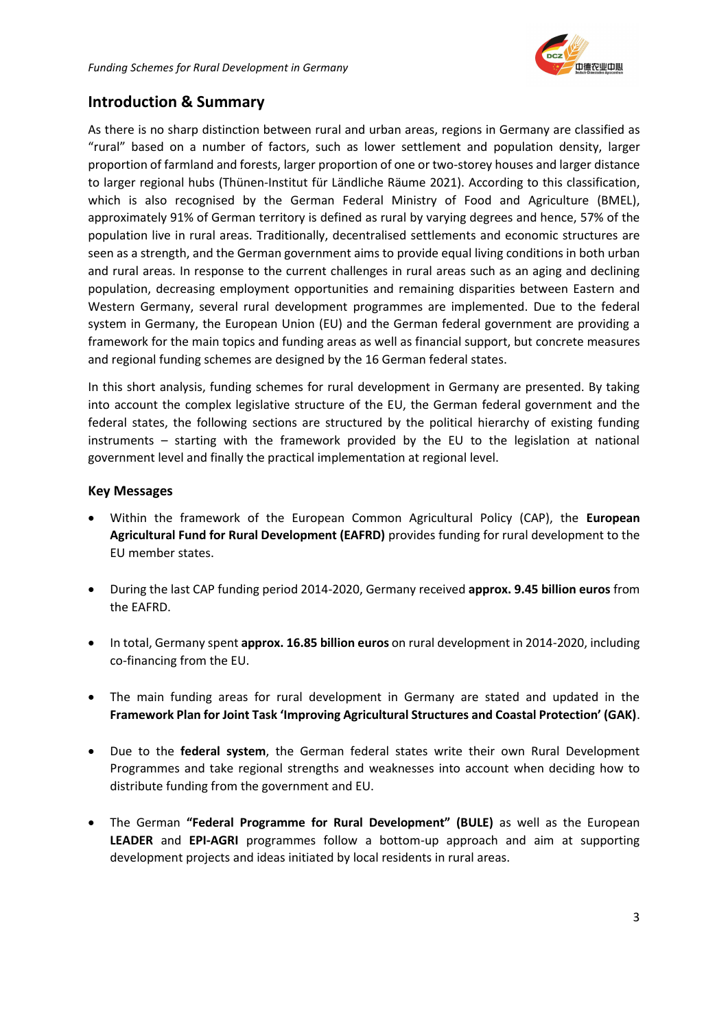### **Introduction & Summary**

As there is no sharp distinction between rural and urban areas, regions in Germany are classified as "rural" based on a number of factors, such as lower settlement and population density, larger proportion of farmland and forests, larger proportion of one or two-storey houses and larger distance to larger regional hubs (Thünen-Institut für Ländliche Räume 2021). According to this classification, which is also recognised by the German Federal Ministry of Food and Agriculture (BMEL), approximately 91% of German territory is defined as rural by varying degrees and hence, 57% of the population live in rural areas. Traditionally, decentralised settlements and economic structures are seen as a strength, and the German government aims to provide equal living conditions in both urban and rural areas. In response to the current challenges in rural areas such as an aging and declining population, decreasing employment opportunities and remaining disparities between Eastern and Western Germany, several rural development programmes are implemented. Due to the federal system in Germany, the European Union (EU) and the German federal government are providing a framework for the main topics and funding areas as well as financial support, but concrete measures and regional funding schemes are designed by the 16 German federal states.

In this short analysis, funding schemes for rural development in Germany are presented. By taking into account the complex legislative structure of the EU, the German federal government and the federal states, the following sections are structured by the political hierarchy of existing funding instruments – starting with the framework provided by the EU to the legislation at national government level and finally the practical implementation at regional level.

#### **Key Messages**

- Within the framework of the European Common Agricultural Policy (CAP), the **European Agricultural Fund for Rural Development (EAFRD)** provides funding for rural development to the EU member states.
- During the last CAP funding period 2014-2020, Germany received **approx. 9.45 billion euros** from the EAFRD.
- In total, Germany spent **approx. 16.85 billion euros** on rural development in 2014-2020, including co-financing from the EU.
- The main funding areas for rural development in Germany are stated and updated in the **Framework Plan for Joint Task 'Improving Agricultural Structures and Coastal Protection' (GAK)**.
- Due to the **federal system**, the German federal states write their own Rural Development Programmes and take regional strengths and weaknesses into account when deciding how to distribute funding from the government and EU.
- The German **"Federal Programme for Rural Development" (BULE)** as well as the European **LEADER** and **EPI-AGRI** programmes follow a bottom-up approach and aim at supporting development projects and ideas initiated by local residents in rural areas.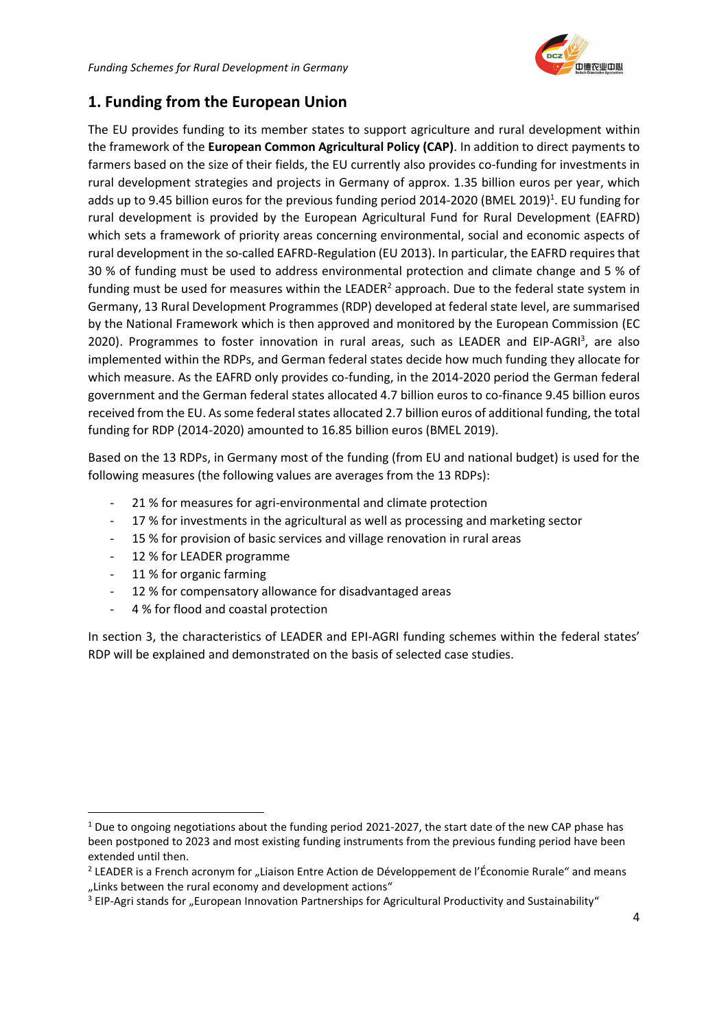

## **1. Funding from the European Union**

The EU provides funding to its member states to support agriculture and rural development within the framework of the **European Common Agricultural Policy (CAP)**. In addition to direct payments to farmers based on the size of their fields, the EU currently also provides co-funding for investments in rural development strategies and projects in Germany of approx. 1.35 billion euros per year, which adds up to 9.45 billion euros for the previous funding period 2014-2020 (BMEL 2019)<sup>1</sup>. EU funding for rural development is provided by the European Agricultural Fund for Rural Development (EAFRD) which sets a framework of priority areas concerning environmental, social and economic aspects of rural development in the so-called EAFRD-Regulation (EU 2013). In particular, the EAFRD requires that 30 % of funding must be used to address environmental protection and climate change and 5 % of funding must be used for measures within the LEADER $^2$  approach. Due to the federal state system in Germany, 13 Rural Development Programmes (RDP) developed at federal state level, are summarised by the National Framework which is then approved and monitored by the European Commission (EC 2020). Programmes to foster innovation in rural areas, such as LEADER and EIP-AGRI<sup>3</sup>, are also implemented within the RDPs, and German federal states decide how much funding they allocate for which measure. As the EAFRD only provides co-funding, in the 2014-2020 period the German federal government and the German federal states allocated 4.7 billion euros to co-finance 9.45 billion euros received from the EU. As some federal states allocated 2.7 billion euros of additional funding, the total funding for RDP (2014-2020) amounted to 16.85 billion euros (BMEL 2019).

Based on the 13 RDPs, in Germany most of the funding (from EU and national budget) is used for the following measures (the following values are averages from the 13 RDPs):

- 21 % for measures for agri-environmental and climate protection
- 17 % for investments in the agricultural as well as processing and marketing sector
- 15 % for provision of basic services and village renovation in rural areas
- 12 % for LEADER programme
- 11 % for organic farming
- 12 % for compensatory allowance for disadvantaged areas
- 4 % for flood and coastal protection

In section 3, the characteristics of LEADER and EPI-AGRI funding schemes within the federal states' RDP will be explained and demonstrated on the basis of selected case studies.

 $1$  Due to ongoing negotiations about the funding period 2021-2027, the start date of the new CAP phase has been postponed to 2023 and most existing funding instruments from the previous funding period have been extended until then.

<sup>&</sup>lt;sup>2</sup> LEADER is a French acronym for "Liaison Entre Action de Développement de l'Économie Rurale" and means "Links between the rural economy and development actions"

<sup>&</sup>lt;sup>3</sup> EIP-Agri stands for "European Innovation Partnerships for Agricultural Productivity and Sustainability"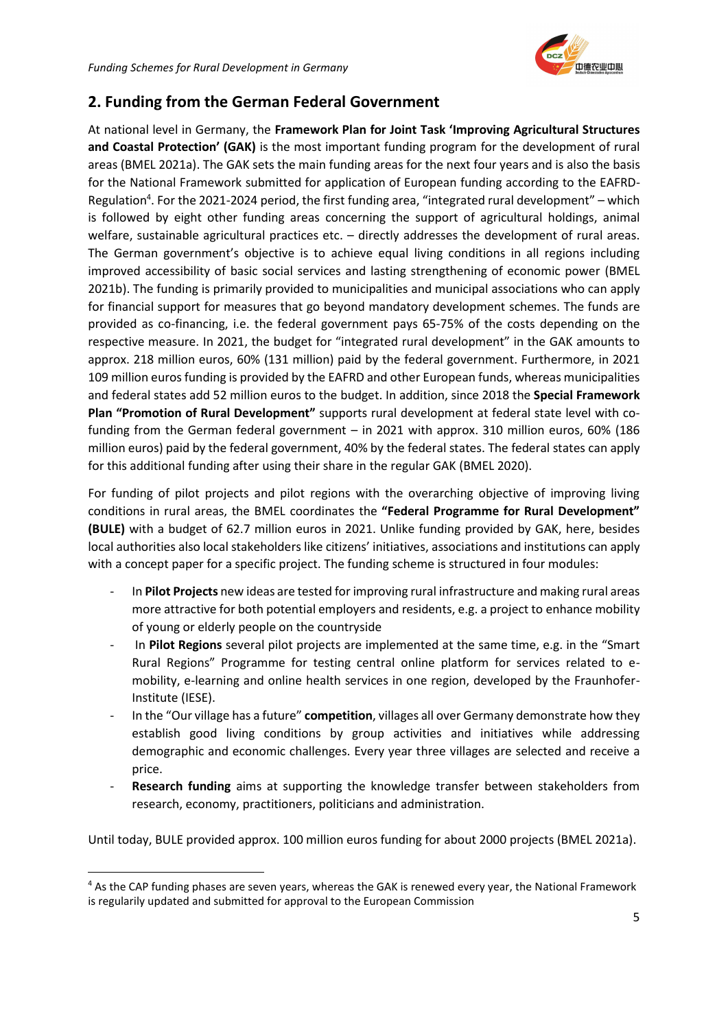

## **2. Funding from the German Federal Government**

At national level in Germany, the **Framework Plan for Joint Task 'Improving Agricultural Structures and Coastal Protection' (GAK)** is the most important funding program for the development of rural areas (BMEL 2021a). The GAK sets the main funding areas for the next four years and is also the basis for the National Framework submitted for application of European funding according to the EAFRD-Regulation<sup>4</sup>. For the 2021-2024 period, the first funding area, "integrated rural development" - which is followed by eight other funding areas concerning the support of agricultural holdings, animal welfare, sustainable agricultural practices etc. – directly addresses the development of rural areas. The German government's objective is to achieve equal living conditions in all regions including improved accessibility of basic social services and lasting strengthening of economic power (BMEL 2021b). The funding is primarily provided to municipalities and municipal associations who can apply for financial support for measures that go beyond mandatory development schemes. The funds are provided as co-financing, i.e. the federal government pays 65-75% of the costs depending on the respective measure. In 2021, the budget for "integrated rural development" in the GAK amounts to approx. 218 million euros, 60% (131 million) paid by the federal government. Furthermore, in 2021 109 million euros funding is provided by the EAFRD and other European funds, whereas municipalities and federal states add 52 million euros to the budget. In addition, since 2018 the **Special Framework Plan "Promotion of Rural Development"** supports rural development at federal state level with cofunding from the German federal government – in 2021 with approx. 310 million euros, 60% (186 million euros) paid by the federal government, 40% by the federal states. The federal states can apply for this additional funding after using their share in the regular GAK (BMEL 2020).

For funding of pilot projects and pilot regions with the overarching objective of improving living conditions in rural areas, the BMEL coordinates the **"Federal Programme for Rural Development" (BULE)** with a budget of 62.7 million euros in 2021. Unlike funding provided by GAK, here, besides local authorities also local stakeholders like citizens' initiatives, associations and institutions can apply with a concept paper for a specific project. The funding scheme is structured in four modules:

- In **Pilot Projects** new ideas are tested for improving rural infrastructure and making rural areas more attractive for both potential employers and residents, e.g. a project to enhance mobility of young or elderly people on the countryside
- In **Pilot Regions** several pilot projects are implemented at the same time, e.g. in the "Smart Rural Regions" Programme for testing central online platform for services related to emobility, e-learning and online health services in one region, developed by the Fraunhofer-Institute (IESE).
- In the "Our village has a future" **competition**, villages all over Germany demonstrate how they establish good living conditions by group activities and initiatives while addressing demographic and economic challenges. Every year three villages are selected and receive a price.
- **Research funding** aims at supporting the knowledge transfer between stakeholders from research, economy, practitioners, politicians and administration.

Until today, BULE provided approx. 100 million euros funding for about 2000 projects (BMEL 2021a).

<sup>&</sup>lt;sup>4</sup> As the CAP funding phases are seven years, whereas the GAK is renewed every year, the National Framework is regularily updated and submitted for approval to the European Commission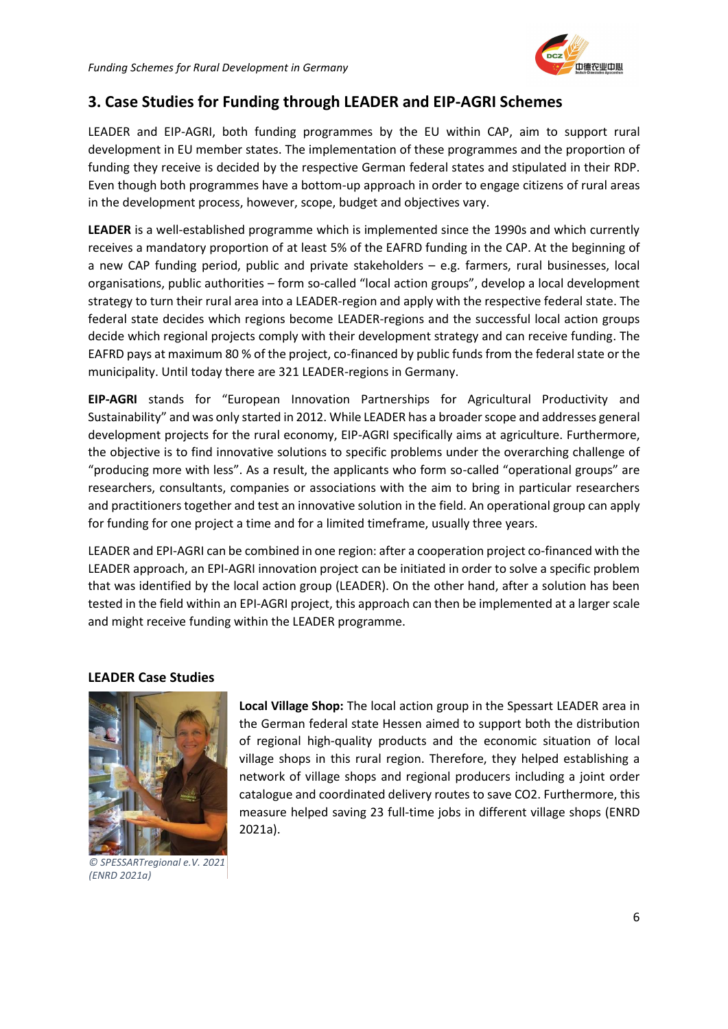

## **3. Case Studies for Funding through LEADER and EIP-AGRI Schemes**

LEADER and EIP-AGRI, both funding programmes by the EU within CAP, aim to support rural development in EU member states. The implementation of these programmes and the proportion of funding they receive is decided by the respective German federal states and stipulated in their RDP. Even though both programmes have a bottom-up approach in order to engage citizens of rural areas in the development process, however, scope, budget and objectives vary.

**LEADER** is a well-established programme which is implemented since the 1990s and which currently receives a mandatory proportion of at least 5% of the EAFRD funding in the CAP. At the beginning of a new CAP funding period, public and private stakeholders – e.g. farmers, rural businesses, local organisations, public authorities – form so-called "local action groups", develop a local development strategy to turn their rural area into a LEADER-region and apply with the respective federal state. The federal state decides which regions become LEADER-regions and the successful local action groups decide which regional projects comply with their development strategy and can receive funding. The EAFRD pays at maximum 80 % of the project, co-financed by public funds from the federal state or the municipality. Until today there are 321 LEADER-regions in Germany.

**EIP-AGRI** stands for "European Innovation Partnerships for Agricultural Productivity and Sustainability" and was only started in 2012. While LEADER has a broader scope and addresses general development projects for the rural economy, EIP-AGRI specifically aims at agriculture. Furthermore, the objective is to find innovative solutions to specific problems under the overarching challenge of "producing more with less". As a result, the applicants who form so-called "operational groups" are researchers, consultants, companies or associations with the aim to bring in particular researchers and practitioners together and test an innovative solution in the field. An operational group can apply for funding for one project a time and for a limited timeframe, usually three years.

LEADER and EPI-AGRI can be combined in one region: after a cooperation project co-financed with the LEADER approach, an EPI-AGRI innovation project can be initiated in order to solve a specific problem that was identified by the local action group (LEADER). On the other hand, after a solution has been tested in the field within an EPI-AGRI project, this approach can then be implemented at a larger scale and might receive funding within the LEADER programme.

#### **LEADER Case Studies**



*© SPESSARTregional e.V. 2021 (ENRD 2021a)*

**Local Village Shop:** The local action group in the Spessart LEADER area in the German federal state Hessen aimed to support both the distribution of regional high-quality products and the economic situation of local village shops in this rural region. Therefore, they helped establishing a network of village shops and regional producers including a joint order catalogue and coordinated delivery routes to save CO2. Furthermore, this measure helped saving 23 full-time jobs in different village shops (ENRD 2021a).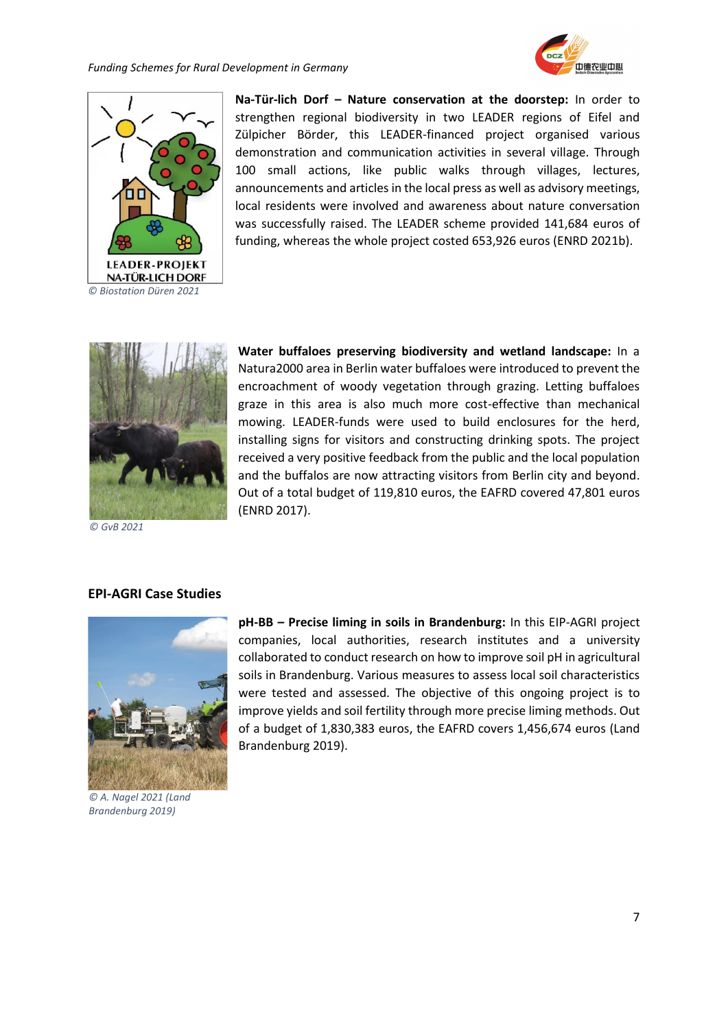



**Na-Tür-lich Dorf – Nature conservation at the doorstep:** In order to strengthen regional biodiversity in two LEADER regions of Eifel and Zülpicher Börder, this LEADER-financed project organised various demonstration and communication activities in several village. Through 100 small actions, like public walks through villages, lectures, announcements and articles in the local press as well as advisory meetings, local residents were involved and awareness about nature conversation was successfully raised. The LEADER scheme provided 141,684 euros of funding, whereas the whole project costed 653,926 euros (ENRD 2021b).



*© GvB 2021*

#### **EPI-AGRI Case Studies**



*© A. Nagel 2021 (Land Brandenburg 2019)*

**Water buffaloes preserving biodiversity and wetland landscape:** In a Natura2000 area in Berlin water buffaloes were introduced to prevent the encroachment of woody vegetation through grazing. Letting buffaloes graze in this area is also much more cost-effective than mechanical mowing. LEADER-funds were used to build enclosures for the herd, installing signs for visitors and constructing drinking spots. The project received a very positive feedback from the public and the local population and the buffalos are now attracting visitors from Berlin city and beyond. Out of a total budget of 119,810 euros, the EAFRD covered 47,801 euros (ENRD 2017).

**pH-BB – Precise liming in soils in Brandenburg:** In this EIP-AGRI project companies, local authorities, research institutes and a university collaborated to conduct research on how to improve soil pH in agricultural soils in Brandenburg. Various measures to assess local soil characteristics were tested and assessed. The objective of this ongoing project is to improve yields and soil fertility through more precise liming methods. Out of a budget of 1,830,383 euros, the EAFRD covers 1,456,674 euros (Land Brandenburg 2019).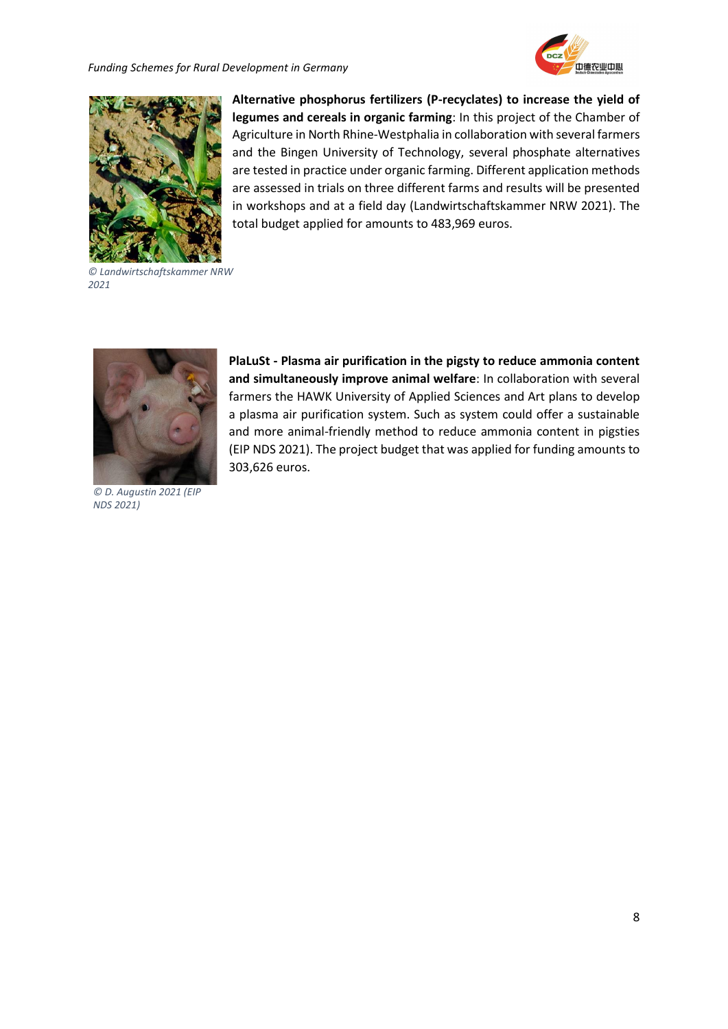*Funding Schemes for Rural Development in Germany*





**Alternative phosphorus fertilizers (P-recyclates) to increase the yield of legumes and cereals in organic farming**: In this project of the Chamber of Agriculture in North Rhine-Westphalia in collaboration with several farmers and the Bingen University of Technology, several phosphate alternatives are tested in practice under organic farming. Different application methods are assessed in trials on three different farms and results will be presented in workshops and at a field day (Landwirtschaftskammer NRW 2021). The total budget applied for amounts to 483,969 euros.

*© Landwirtschaftskammer NRW 2021*



*© D. Augustin 2021 (EIP NDS 2021)*

**PlaLuSt - Plasma air purification in the pigsty to reduce ammonia content and simultaneously improve animal welfare**: In collaboration with several farmers the HAWK University of Applied Sciences and Art plans to develop a plasma air purification system. Such as system could offer a sustainable and more animal-friendly method to reduce ammonia content in pigsties (EIP NDS 2021). The project budget that was applied for funding amounts to 303,626 euros.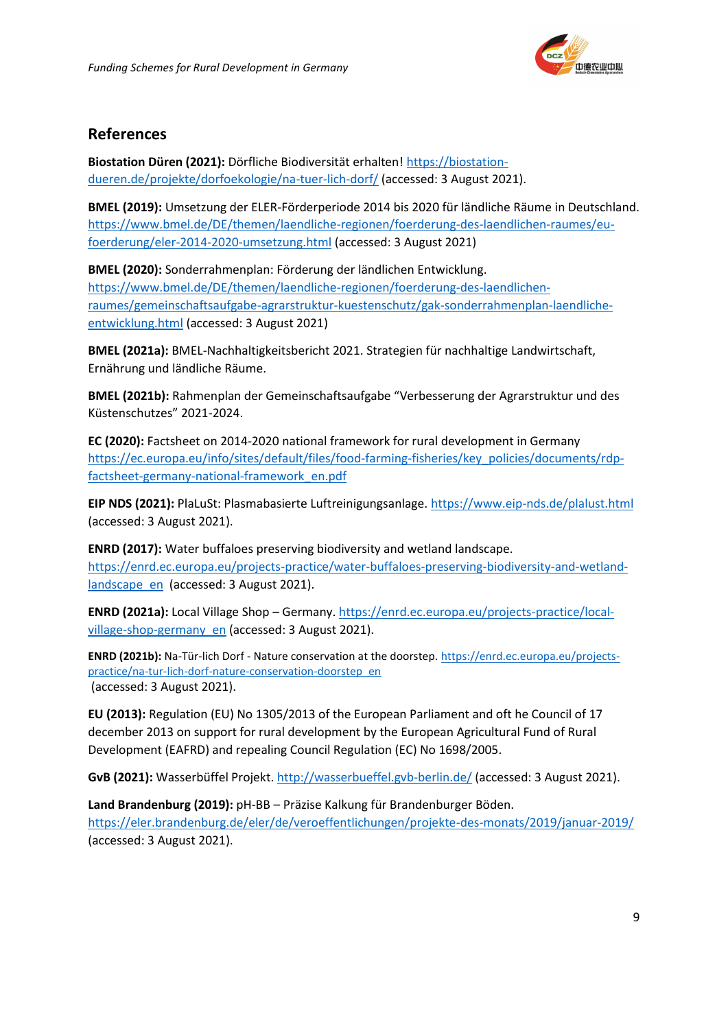

### **References**

**Biostation Düren (2021):** Dörfliche Biodiversität erhalten[! https://biostation](https://biostation-dueren.de/projekte/dorfoekologie/na-tuer-lich-dorf/)[dueren.de/projekte/dorfoekologie/na-tuer-lich-dorf/](https://biostation-dueren.de/projekte/dorfoekologie/na-tuer-lich-dorf/) (accessed: 3 August 2021).

**BMEL (2019):** Umsetzung der ELER-Förderperiode 2014 bis 2020 für ländliche Räume in Deutschland. [https://www.bmel.de/DE/themen/laendliche-regionen/foerderung-des-laendlichen-raumes/eu](https://www.bmel.de/DE/themen/laendliche-regionen/foerderung-des-laendlichen-raumes/eu-foerderung/eler-2014-2020-umsetzung.html)[foerderung/eler-2014-2020-umsetzung.html](https://www.bmel.de/DE/themen/laendliche-regionen/foerderung-des-laendlichen-raumes/eu-foerderung/eler-2014-2020-umsetzung.html) (accessed: 3 August 2021)

**BMEL (2020):** Sonderrahmenplan: Förderung der ländlichen Entwicklung. [https://www.bmel.de/DE/themen/laendliche-regionen/foerderung-des-laendlichen](https://www.bmel.de/DE/themen/laendliche-regionen/foerderung-des-laendlichen-raumes/gemeinschaftsaufgabe-agrarstruktur-kuestenschutz/gak-sonderrahmenplan-laendliche-entwicklung.html)[raumes/gemeinschaftsaufgabe-agrarstruktur-kuestenschutz/gak-sonderrahmenplan-laendliche](https://www.bmel.de/DE/themen/laendliche-regionen/foerderung-des-laendlichen-raumes/gemeinschaftsaufgabe-agrarstruktur-kuestenschutz/gak-sonderrahmenplan-laendliche-entwicklung.html)[entwicklung.html](https://www.bmel.de/DE/themen/laendliche-regionen/foerderung-des-laendlichen-raumes/gemeinschaftsaufgabe-agrarstruktur-kuestenschutz/gak-sonderrahmenplan-laendliche-entwicklung.html) (accessed: 3 August 2021)

**BMEL (2021a):** BMEL-Nachhaltigkeitsbericht 2021. Strategien für nachhaltige Landwirtschaft, Ernährung und ländliche Räume.

**BMEL (2021b):** Rahmenplan der Gemeinschaftsaufgabe "Verbesserung der Agrarstruktur und des Küstenschutzes" 2021-2024.

**EC (2020):** Factsheet on 2014-2020 national framework for rural development in Germany [https://ec.europa.eu/info/sites/default/files/food-farming-fisheries/key\\_policies/documents/rdp](https://ec.europa.eu/info/sites/default/files/food-farming-fisheries/key_policies/documents/rdp-factsheet-germany-national-framework_en.pdf)[factsheet-germany-national-framework\\_en.pdf](https://ec.europa.eu/info/sites/default/files/food-farming-fisheries/key_policies/documents/rdp-factsheet-germany-national-framework_en.pdf)

**EIP NDS (2021):** PlaLuSt: Plasmabasierte Luftreinigungsanlage.<https://www.eip-nds.de/plalust.html> (accessed: 3 August 2021).

**ENRD (2017):** Water buffaloes preserving biodiversity and wetland landscape. [https://enrd.ec.europa.eu/projects-practice/water-buffaloes-preserving-biodiversity-and-wetland](https://enrd.ec.europa.eu/projects-practice/water-buffaloes-preserving-biodiversity-and-wetland-landscape_en)[landscape\\_en](https://enrd.ec.europa.eu/projects-practice/water-buffaloes-preserving-biodiversity-and-wetland-landscape_en) (accessed: 3 August 2021).

**ENRD (2021a):** Local Village Shop – Germany. [https://enrd.ec.europa.eu/projects-practice/local](https://enrd.ec.europa.eu/projects-practice/local-village-shop-germany_en)[village-shop-germany\\_en](https://enrd.ec.europa.eu/projects-practice/local-village-shop-germany_en) (accessed: 3 August 2021).

**ENRD (2021b):** Na-Tür-lich Dorf - Nature conservation at the doorstep[. https://enrd.ec.europa.eu/projects](https://enrd.ec.europa.eu/projects-practice/na-tur-lich-dorf-nature-conservation-doorstep_en)[practice/na-tur-lich-dorf-nature-conservation-doorstep\\_en](https://enrd.ec.europa.eu/projects-practice/na-tur-lich-dorf-nature-conservation-doorstep_en) (accessed: 3 August 2021).

**EU (2013):** Regulation (EU) No 1305/2013 of the European Parliament and oft he Council of 17 december 2013 on support for rural development by the European Agricultural Fund of Rural Development (EAFRD) and repealing Council Regulation (EC) No 1698/2005.

**GvB (2021):** Wasserbüffel Projekt[. http://wasserbueffel.gvb-berlin.de/](http://wasserbueffel.gvb-berlin.de/) (accessed: 3 August 2021).

**Land Brandenburg (2019):** pH-BB – Präzise Kalkung für Brandenburger Böden.

<https://eler.brandenburg.de/eler/de/veroeffentlichungen/projekte-des-monats/2019/januar-2019/> (accessed: 3 August 2021).